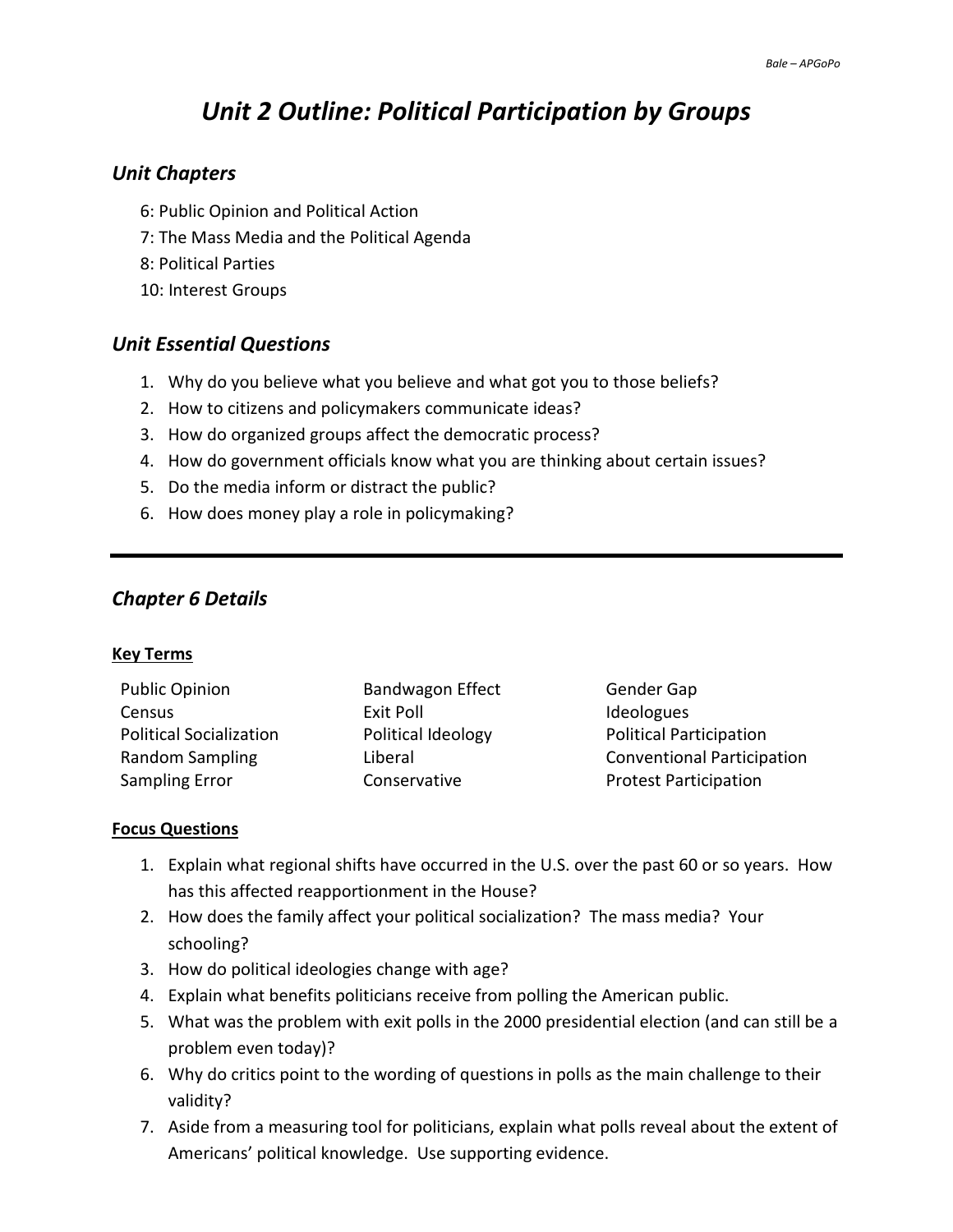# *Unit 2 Outline: Political Participation by Groups*

## *Unit Chapters*

- 6: Public Opinion and Political Action
- 7: The Mass Media and the Political Agenda
- 8: Political Parties
- 10: Interest Groups

# *Unit Essential Questions*

- 1. Why do you believe what you believe and what got you to those beliefs?
- 2. How to citizens and policymakers communicate ideas?
- 3. How do organized groups affect the democratic process?
- 4. How do government officials know what you are thinking about certain issues?
- 5. Do the media inform or distract the public?
- 6. How does money play a role in policymaking?

# *Chapter 6 Details*

#### **Key Terms**

| <b>Public Opinion</b>          | <b>Bandwagon Effect</b> |
|--------------------------------|-------------------------|
| Census                         | Exit Poll               |
| <b>Political Socialization</b> | Political Ideology      |
| Random Sampling                | Liberal                 |
| <b>Sampling Error</b>          | Conservative            |

Gender Gap Ideologues Political Participation **Conventional Participation Protest Participation** 

- 1. Explain what regional shifts have occurred in the U.S. over the past 60 or so years. How has this affected reapportionment in the House?
- 2. How does the family affect your political socialization? The mass media? Your schooling?
- 3. How do political ideologies change with age?
- 4. Explain what benefits politicians receive from polling the American public.
- 5. What was the problem with exit polls in the 2000 presidential election (and can still be a problem even today)?
- 6. Why do critics point to the wording of questions in polls as the main challenge to their validity?
- 7. Aside from a measuring tool for politicians, explain what polls reveal about the extent of Americans' political knowledge. Use supporting evidence.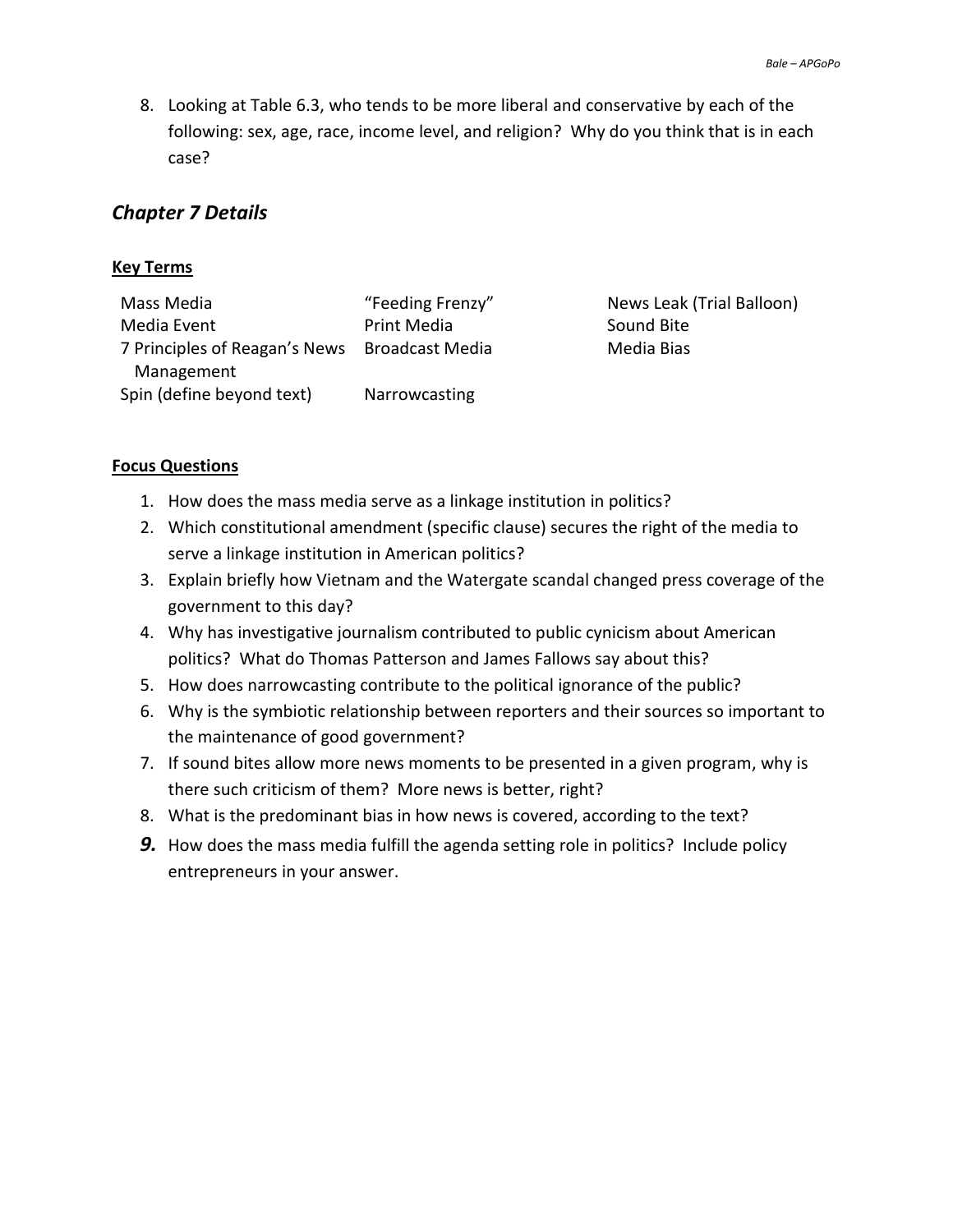8. Looking at Table 6.3, who tends to be more liberal and conservative by each of the following: sex, age, race, income level, and religion? Why do you think that is in each case?

# *Chapter 7 Details*

#### **Key Terms**

Mass Media "Feeding Frenzy" News Leak (Trial Balloon) Media Event Print Media Sound Bite 7 Principles of Reagan's News Broadcast Media Media Bias Management Spin (define beyond text) Narrowcasting

- 1. How does the mass media serve as a linkage institution in politics?
- 2. Which constitutional amendment (specific clause) secures the right of the media to serve a linkage institution in American politics?
- 3. Explain briefly how Vietnam and the Watergate scandal changed press coverage of the government to this day?
- 4. Why has investigative journalism contributed to public cynicism about American politics? What do Thomas Patterson and James Fallows say about this?
- 5. How does narrowcasting contribute to the political ignorance of the public?
- 6. Why is the symbiotic relationship between reporters and their sources so important to the maintenance of good government?
- 7. If sound bites allow more news moments to be presented in a given program, why is there such criticism of them? More news is better, right?
- 8. What is the predominant bias in how news is covered, according to the text?
- **9.** How does the mass media fulfill the agenda setting role in politics? Include policy entrepreneurs in your answer.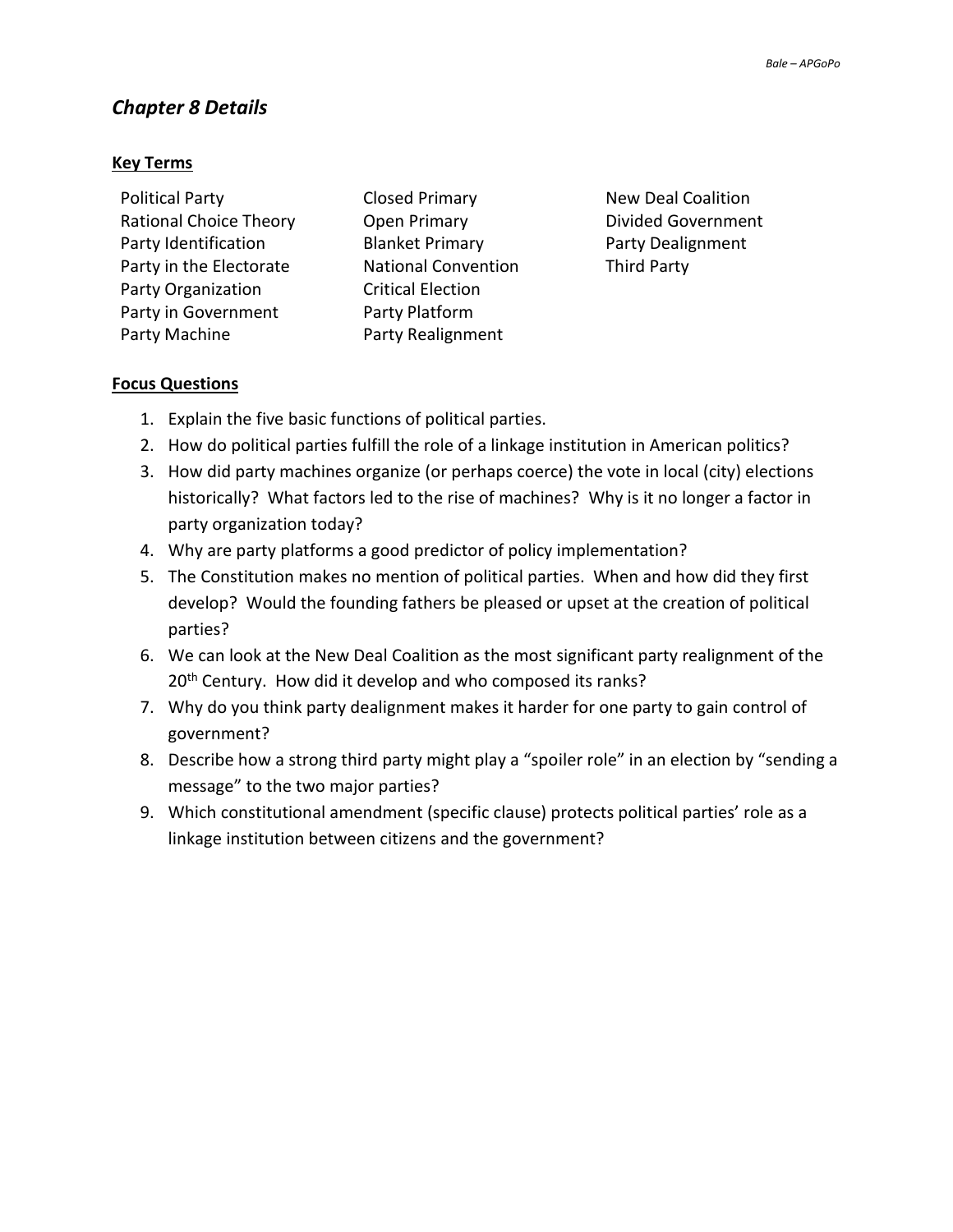# *Chapter 8 Details*

#### **Key Terms**

| <b>Political Party</b>        |
|-------------------------------|
| <b>Rational Choice Theory</b> |
| Party Identification          |
| Party in the Electorate       |
| Party Organization            |
| Party in Government           |
| Party Machine                 |

Open Primary **Divided Government Blanket Primary Party Dealignment National Convention Third Party Critical Election** Party Platform Party Realignment

**Closed Primary New Deal Coalition** 

- 1. Explain the five basic functions of political parties.
- 2. How do political parties fulfill the role of a linkage institution in American politics?
- 3. How did party machines organize (or perhaps coerce) the vote in local (city) elections historically? What factors led to the rise of machines? Why is it no longer a factor in party organization today?
- 4. Why are party platforms a good predictor of policy implementation?
- 5. The Constitution makes no mention of political parties. When and how did they first develop? Would the founding fathers be pleased or upset at the creation of political parties?
- 6. We can look at the New Deal Coalition as the most significant party realignment of the 20<sup>th</sup> Century. How did it develop and who composed its ranks?
- 7. Why do you think party dealignment makes it harder for one party to gain control of government?
- 8. Describe how a strong third party might play a "spoiler role" in an election by "sending a message" to the two major parties?
- 9. Which constitutional amendment (specific clause) protects political parties' role as a linkage institution between citizens and the government?